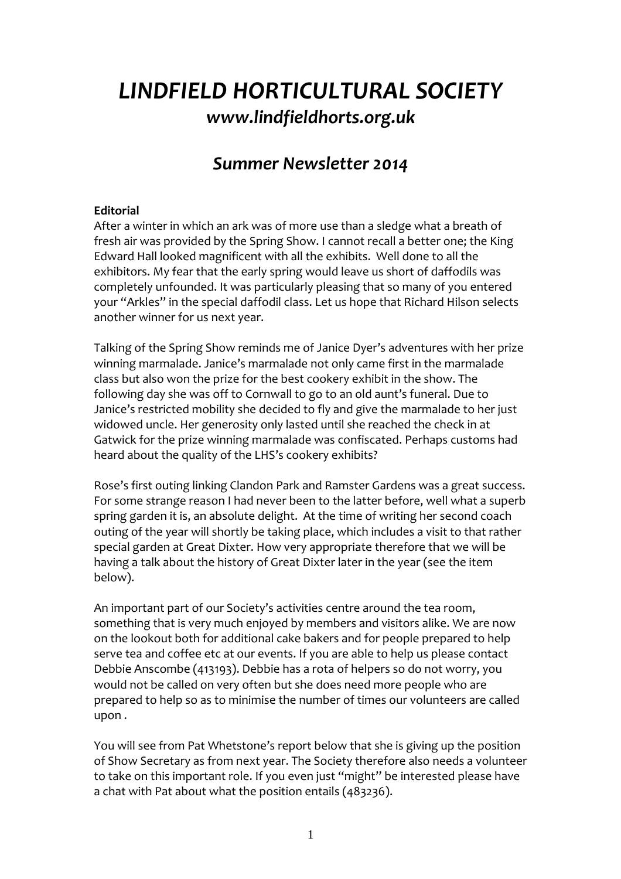# *LINDFIELD HORTICULTURAL SOCIETY [www.lindfieldhorts.org.uk](http://www.lindfieldhorts.org.uk/)*

## *Summer Newsletter 2014*

#### **Editorial**

After a winter in which an ark was of more use than a sledge what a breath of fresh air was provided by the Spring Show. I cannot recall a better one; the King Edward Hall looked magnificent with all the exhibits. Well done to all the exhibitors. My fear that the early spring would leave us short of daffodils was completely unfounded. It was particularly pleasing that so many of you entered your "Arkles" in the special daffodil class. Let us hope that Richard Hilson selects another winner for us next year.

Talking of the Spring Show reminds me of Janice Dyer's adventures with her prize winning marmalade. Janice's marmalade not only came first in the marmalade class but also won the prize for the best cookery exhibit in the show. The following day she was off to Cornwall to go to an old aunt's funeral. Due to Janice's restricted mobility she decided to fly and give the marmalade to her just widowed uncle. Her generosity only lasted until she reached the check in at Gatwick for the prize winning marmalade was confiscated. Perhaps customs had heard about the quality of the LHS's cookery exhibits?

Rose's first outing linking Clandon Park and Ramster Gardens was a great success. For some strange reason I had never been to the latter before, well what a superb spring garden it is, an absolute delight. At the time of writing her second coach outing of the year will shortly be taking place, which includes a visit to that rather special garden at Great Dixter. How very appropriate therefore that we will be having a talk about the history of Great Dixter later in the year (see the item below).

An important part of our Society's activities centre around the tea room, something that is very much enjoyed by members and visitors alike. We are now on the lookout both for additional cake bakers and for people prepared to help serve tea and coffee etc at our events. If you are able to help us please contact Debbie Anscombe (413193). Debbie has a rota of helpers so do not worry, you would not be called on very often but she does need more people who are prepared to help so as to minimise the number of times our volunteers are called upon .

You will see from Pat Whetstone's report below that she is giving up the position of Show Secretary as from next year. The Society therefore also needs a volunteer to take on this important role. If you even just "might" be interested please have a chat with Pat about what the position entails (483236).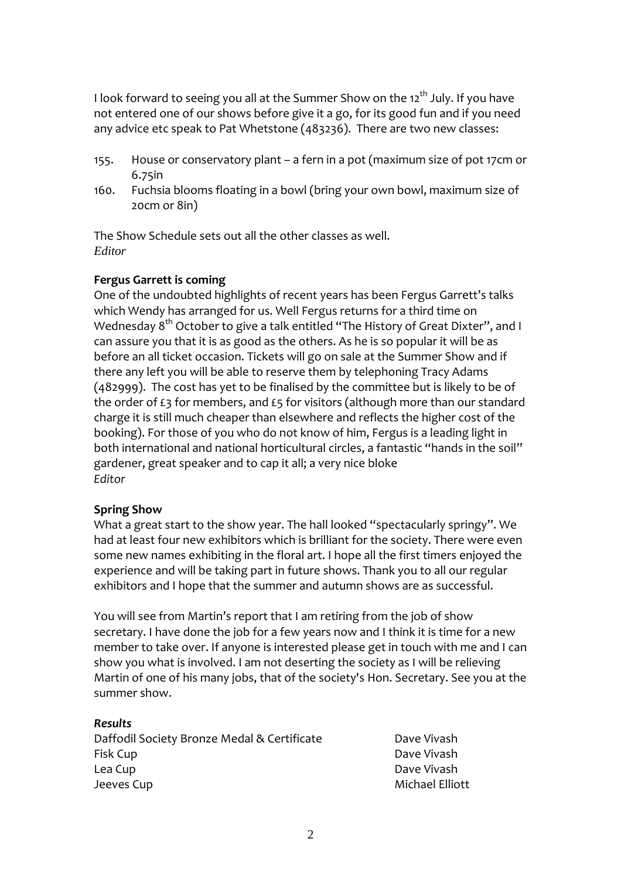I look forward to seeing you all at the Summer Show on the  $12<sup>th</sup>$  July. If you have not entered one of our shows before give it a go, for its good fun and if you need any advice etc speak to Pat Whetstone (483236). There are two new classes:

- 155. House or conservatory plant a fern in a pot (maximum size of pot 17cm or 6.75in
- 160. Fuchsia blooms floating in a bowl (bring your own bowl, maximum size of 20cm or 8in)

The Show Schedule sets out all the other classes as well. *Editor* 

#### **Fergus Garrett is coming**

One of the undoubted highlights of recent years has been Fergus Garrett's talks which Wendy has arranged for us. Well Fergus returns for a third time on Wednesday  $8<sup>th</sup>$  October to give a talk entitled "The History of Great Dixter", and I can assure you that it is as good as the others. As he is so popular it will be as before an all ticket occasion. Tickets will go on sale at the Summer Show and if there any left you will be able to reserve them by telephoning Tracy Adams (482999). The cost has yet to be finalised by the committee but is likely to be of the order of £3 for members, and £5 for visitors (although more than our standard charge it is still much cheaper than elsewhere and reflects the higher cost of the booking). For those of you who do not know of him, Fergus is a leading light in both international and national horticultural circles, a fantastic "hands in the soil" gardener, great speaker and to cap it all; a very nice bloke *Editor*

#### **Spring Show**

What a great start to the show year. The hall looked "spectacularly springy". We had at least four new exhibitors which is brilliant for the society. There were even some new names exhibiting in the floral art. I hope all the first timers enjoyed the experience and will be taking part in future shows. Thank you to all our regular exhibitors and I hope that the summer and autumn shows are as successful.

You will see from Martin's report that I am retiring from the job of show secretary. I have done the job for a few years now and I think it is time for a new member to take over. If anyone is interested please get in touch with me and I can show you what is involved. I am not deserting the society as I will be relieving Martin of one of his many jobs, that of the society's Hon. Secretary. See you at the summer show.

#### *Results*

Daffodil Society Bronze Medal & Certificate **Dational Society Bronze** Medal & Certificate Fisk Cup **Dave Vivash** Lea Cup **Dave Vivash** Jeeves Cup **Michael Elliott**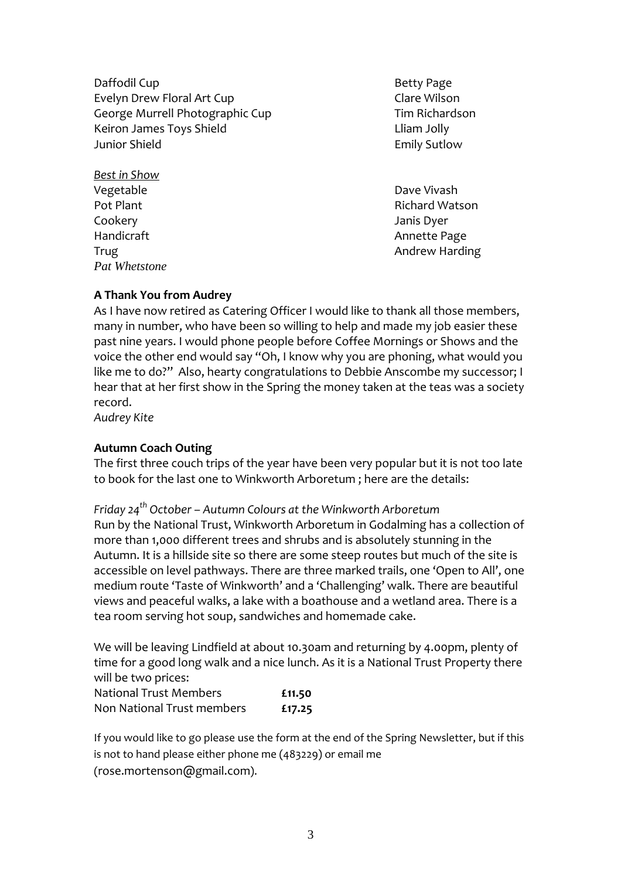Daffodil Cup **Betty Page** Evelyn Drew Floral Art Cup **Same Clare Wilson** George Murrell Photographic Cup **Transform Cup Contract** Tim Richardson Keiron James Toys Shield **The Contract Contract Contract Contract Contract Contract Contract Contract Contract C** Junior Shield Emily Sutlow

*Best in Show* Vegetable **Vegetable 2008** Cookery **Cookery 1999** Handicraft Annette Page *Pat Whetstone* 

Pot Plant Richard Watson Trug **Trug 2008** Trug 2008 Trug 2008 Trug 2008 Andrew Harding

## **A Thank You from Audrey**

As I have now retired as Catering Officer I would like to thank all those members, many in number, who have been so willing to help and made my job easier these past nine years. I would phone people before Coffee Mornings or Shows and the voice the other end would say "Oh, I know why you are phoning, what would you like me to do?" Also, hearty congratulations to Debbie Anscombe my successor; I hear that at her first show in the Spring the money taken at the teas was a society record.

*Audrey Kite*

## **Autumn Coach Outing**

The first three couch trips of the year have been very popular but it is not too late to book for the last one to Winkworth Arboretum ; here are the details:

*Friday 24th October – Autumn Colours at the Winkworth Arboretum*

Run by the National Trust, Winkworth Arboretum in Godalming has a collection of more than 1,000 different trees and shrubs and is absolutely stunning in the Autumn. It is a hillside site so there are some steep routes but much of the site is accessible on level pathways. There are three marked trails, one 'Open to All', one medium route 'Taste of Winkworth' and a 'Challenging' walk. There are beautiful views and peaceful walks, a lake with a boathouse and a wetland area. There is a tea room serving hot soup, sandwiches and homemade cake.

We will be leaving Lindfield at about 10.30am and returning by 4.00pm, plenty of time for a good long walk and a nice lunch. As it is a National Trust Property there will be two prices:

| National Trust Members     | £11.50 |
|----------------------------|--------|
| Non National Trust members | £17.25 |

If you would like to go please use the form at the end of the Spring Newsletter, but if this is not to hand please either phone me (483229) or email me (rose.mortenson@gmail.com).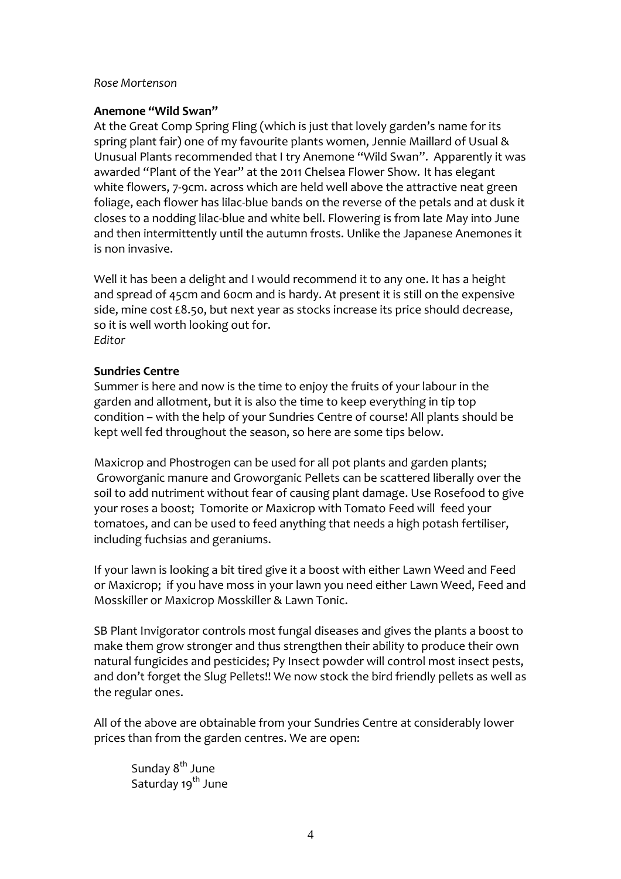#### *Rose Mortenson*

#### **Anemone "Wild Swan"**

At the Great Comp Spring Fling (which is just that lovely garden's name for its spring plant fair) one of my favourite plants women, Jennie Maillard of Usual & Unusual Plants recommended that I try Anemone "Wild Swan". Apparently it was awarded "Plant of the Year" at the 2011 Chelsea Flower Show. It has elegant white flowers, 7-9cm. across which are held well above the attractive neat green foliage, each flower has lilac‐blue bands on the reverse of the petals and at dusk it closes to a nodding lilac‐blue and white bell. Flowering is from late May into June and then intermittently until the autumn frosts. Unlike the Japanese Anemones it is non invasive.

Well it has been a delight and I would recommend it to any one. It has a height and spread of 45cm and 60cm and is hardy. At present it is still on the expensive side, mine cost £8.50, but next year as stocks increase its price should decrease, so it is well worth looking out for. *Editor*

#### **Sundries Centre**

Summer is here and now is the time to enjoy the fruits of your labour in the garden and allotment, but it is also the time to keep everything in tip top condition – with the help of your Sundries Centre of course! All plants should be kept well fed throughout the season, so here are some tips below.

Maxicrop and Phostrogen can be used for all pot plants and garden plants; Groworganic manure and Groworganic Pellets can be scattered liberally over the soil to add nutriment without fear of causing plant damage. Use Rosefood to give your roses a boost; Tomorite or Maxicrop with Tomato Feed will feed your tomatoes, and can be used to feed anything that needs a high potash fertiliser, including fuchsias and geraniums.

If your lawn is looking a bit tired give it a boost with either Lawn Weed and Feed or Maxicrop; if you have moss in your lawn you need either Lawn Weed, Feed and Mosskiller or Maxicrop Mosskiller & Lawn Tonic.

SB Plant Invigorator controls most fungal diseases and gives the plants a boost to make them grow stronger and thus strengthen their ability to produce their own natural fungicides and pesticides; Py Insect powder will control most insect pests, and don't forget the Slug Pellets!! We now stock the bird friendly pellets as well as the regular ones.

All of the above are obtainable from your Sundries Centre at considerably lower prices than from the garden centres. We are open:

Sunday 8<sup>th</sup> June Saturday 19<sup>th</sup> June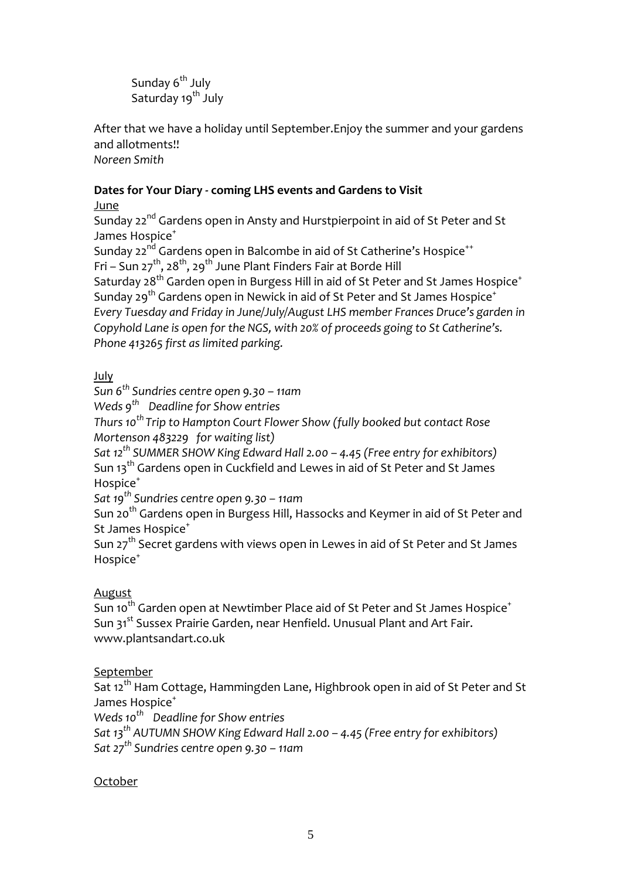Sunday 6<sup>th</sup> July Saturday 19<sup>th</sup> July

After that we have a holiday until September.Enjoy the summer and your gardens and allotments!! *Noreen Smith*

## **Dates for Your Diary ‐ coming LHS events and Gardens to Visit**

## June

Sunday 22<sup>nd</sup> Gardens open in Ansty and Hurstpierpoint in aid of St Peter and St James Hospice<sup>+</sup>

Sunday 22<sup>nd</sup> Gardens open in Balcombe in aid of St Catherine's Hospice<sup>++</sup> Fri – Sun 27<sup>th</sup>, 28<sup>th</sup>, 29<sup>th</sup> June Plant Finders Fair at Borde Hill Saturday 28<sup>th</sup> Garden open in Burgess Hill in aid of St Peter and St James Hospice<sup>+</sup> Sunday 29<sup>th</sup> Gardens open in Newick in aid of St Peter and St James Hospice<sup>+</sup> *Every Tuesday and Friday in June/July/August LHS member Frances Druce's garden in*

*Copyhold Lane is open for the NGS, with 20% of proceeds going to St Catherine's. Phone 413265 first as limited parking.*

## July

*Sun 6th Sundries centre open 9.30 – 11am*

*Weds 9th Deadline for Show entries*

*Thurs 10th Trip to Hampton Court Flower Show (fully booked but contact Rose Mortenson 483229 for waiting list)* 

*Sat 12th SUMMER SHOW King Edward Hall 2.00 – 4.45 (Free entry for exhibitors)* Sun 13<sup>th</sup> Gardens open in Cuckfield and Lewes in aid of St Peter and St James Hospice<sup>+</sup>

*Sat 19th Sundries centre open 9.30 – 11am*

Sun 20<sup>th</sup> Gardens open in Burgess Hill, Hassocks and Keymer in aid of St Peter and St James Hospice<sup>+</sup>

Sun 27<sup>th</sup> Secret gardens with views open in Lewes in aid of St Peter and St James Hospice<sup>+</sup>

## August

Sun 10<sup>th</sup> Garden open at Newtimber Place aid of St Peter and St James Hospice<sup>+</sup> Sun 31<sup>st</sup> Sussex Prairie Garden, near Henfield. Unusual Plant and Art Fair. [www.plantsandart.co.uk](http://www.plantsandart.co.uk/)

## September

Sat 12<sup>th</sup> Ham Cottage, Hammingden Lane, Highbrook open in aid of St Peter and St James Hospice<sup>+</sup>

*Weds 10th Deadline for Show entries*

*Sat 13th AUTUMN SHOW King Edward Hall 2.00 – 4.45 (Free entry for exhibitors) Sat 27th Sundries centre open 9.30 – 11am*

## October